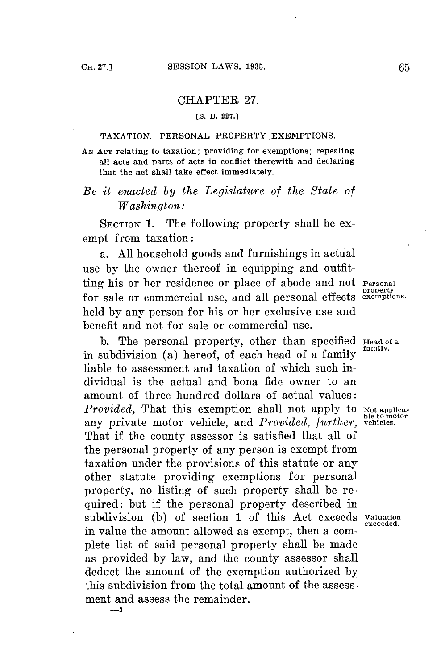## CHAPTER **27.**

## **[S. B. 227.1**

## **TAXATION. PERSONAL PROPERTY EXEMPTIONS.**

**AN AcT relating to taxation; providing for exemptions; repealing all acts and parts of acts in conflict therewith and declaring that the act shall take effect immediately.**

## *Be it enacted by the Legislature of the State of Washington:*

**SECTION** 1. The following property shall be exempt from taxation:

a. **All** household goods and furnishings in actual use **by** the owner thereof in equipping and outfitting his or her residence or place of abode and not **Personal property** for sale or commercial use, and all personal effects **exemptions.** held **by** any person for his or her exclusive use and benefit and not for sale or commercial use.

**b.** The personal property, other than specified **Head of a .family.** in subdivision (a) hereof, of each head of a family liable to assessment and taxation of which such individual is the actual and bona fide owner to an amount of three hundred dollars of actual values: *Provided*, That this exemption shall not apply to Not applica**ble to motor** any private motor vehicle, and *Provided, further,* **vehicles.** That if the county assessor is satisfied that all of the personal property of any person is exempt from taxation under the provisions of this statute or any other statute providing exemptions for personal property, no listing of such property shall be required; but if the personal property described in subdivision **(b)** of section **1** of this Act exceeds **Valuation** in value the amount allowed as exempt, then a complete list of said personal property shall be made as provided **by** law, and the county assessor shall deduct the amount of the exemption authorized **by** this subdivision from the total amount of the assessment and assess the remainder. **-3**

**exceeded.**